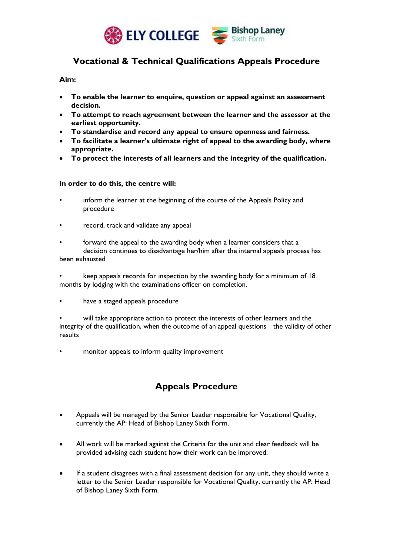

## **Vocational & Technical Qualifications Appeals Procedure**

### **Aim:**

- **To enable the learner to enquire, question or appeal against an assessment decision.**
- **To attempt to reach agreement between the learner and the assessor at the earliest opportunity.**
- **To standardise and record any appeal to ensure openness and fairness.**
- **To facilitate a learner's ultimate right of appeal to the awarding body, where appropriate.**
- **To protect the interests of all learners and the integrity of the qualification.**

#### **In order to do this, the centre will:**

- inform the learner at the beginning of the course of the Appeals Policy and procedure
- record, track and validate any appeal
- forward the appeal to the awarding body when a learner considers that a decision continues to disadvantage her/him after the internal appeals process has been exhausted
- keep appeals records for inspection by the awarding body for a minimum of 18 months by lodging with the examinations officer on completion.
- have a staged appeals procedure

will take appropriate action to protect the interests of other learners and the integrity of the qualification, when the outcome of an appeal questions the validity of other results

monitor appeals to inform quality improvement

# **Appeals Procedure**

- Appeals will be managed by the Senior Leader responsible for Vocational Quality, currently the AP: Head of Bishop Laney Sixth Form.
- All work will be marked against the Criteria for the unit and clear feedback will be provided advising each student how their work can be improved.
- If a student disagrees with a final assessment decision for any unit, they should write a letter to the Senior Leader responsible for Vocational Quality, currently the AP: Head of Bishop Laney Sixth Form.